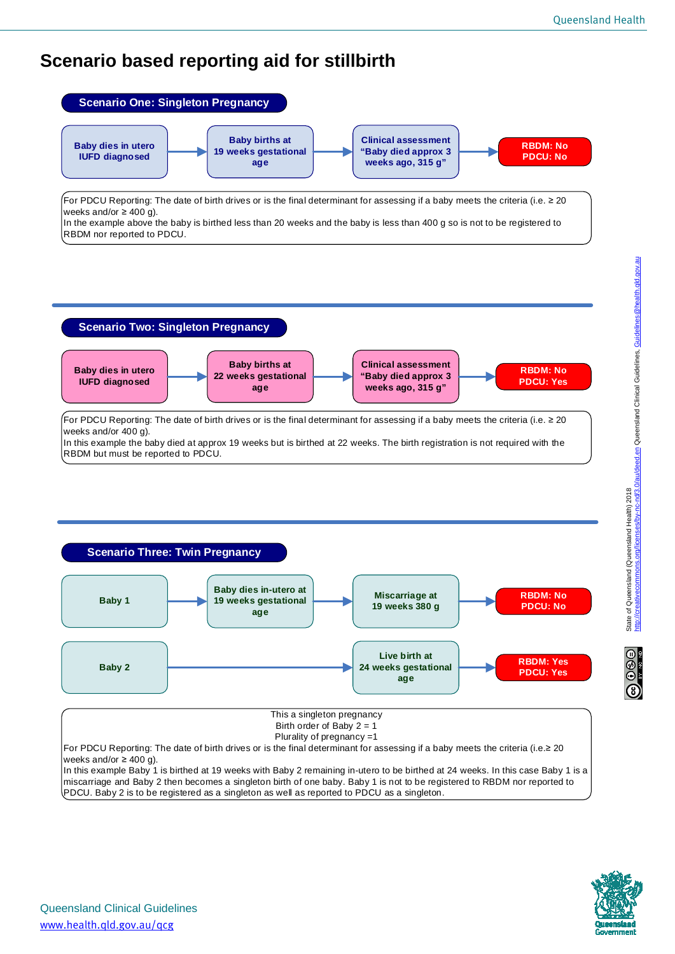## **Scenario based reporting aid for stillbirth**



In the example above the baby is birthed less than 20 weeks and the baby is less than 400 g so is not to be registered to RBDM nor reported to PDCU.

## **Scenario Two: Singleton Pregnancy**



For PDCU Reporting: The date of birth drives or is the final determinant for assessing if a baby meets the criteria (i.e. ≥ 20 weeks and/or 400 g).

In this example the baby died at approx 19 weeks but is birthed at 22 weeks. The birth registration is not required with the RBDM but must be reported to PDCU.



For PDCU Reporting: The date of birth drives or is the final determinant for assessing if a baby meets the criteria (i.e.≥ 20 weeks and/or  $\geq 400$  g).

In this example Baby 1 is birthed at 19 weeks with Baby 2 remaining in-utero to be birthed at 24 weeks. In this case Baby 1 is a miscarriage and Baby 2 then becomes a singleton birth of one baby. Baby 1 is not to be registered to RBDM nor reported to PDCU. Baby 2 is to be registered as a singleton as well as reported to PDCU as a singleton.